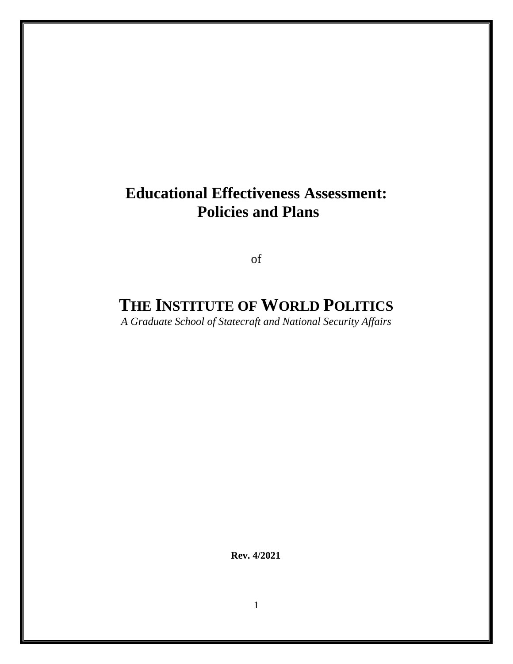# **Educational Effectiveness Assessment: Policies and Plans**

of

# **THE INSTITUTE OF WORLD POLITICS**

*A Graduate School of Statecraft and National Security Affairs*

**Rev. 4/2021**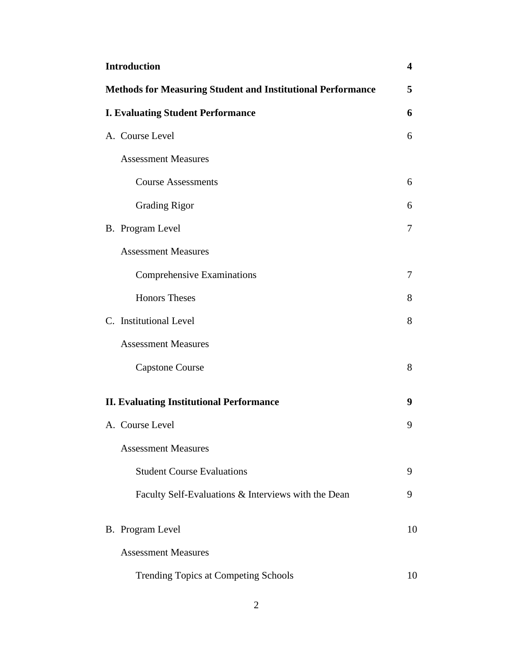| <b>Introduction</b><br>4                                           |    |  |
|--------------------------------------------------------------------|----|--|
| <b>Methods for Measuring Student and Institutional Performance</b> |    |  |
| <b>I. Evaluating Student Performance</b>                           | 6  |  |
| A. Course Level                                                    | 6  |  |
| <b>Assessment Measures</b>                                         |    |  |
| <b>Course Assessments</b>                                          | 6  |  |
| <b>Grading Rigor</b>                                               | 6  |  |
| B. Program Level                                                   | 7  |  |
| <b>Assessment Measures</b>                                         |    |  |
| <b>Comprehensive Examinations</b>                                  | 7  |  |
| <b>Honors Theses</b>                                               | 8  |  |
| C. Institutional Level                                             | 8  |  |
| <b>Assessment Measures</b>                                         |    |  |
| <b>Capstone Course</b>                                             | 8  |  |
| <b>II. Evaluating Institutional Performance</b>                    | 9  |  |
| A. Course Level                                                    | 9  |  |
| <b>Assessment Measures</b>                                         |    |  |
| <b>Student Course Evaluations</b>                                  | 9  |  |
| Faculty Self-Evaluations & Interviews with the Dean                | 9  |  |
| B. Program Level                                                   | 10 |  |
| <b>Assessment Measures</b>                                         |    |  |
| Trending Topics at Competing Schools                               | 10 |  |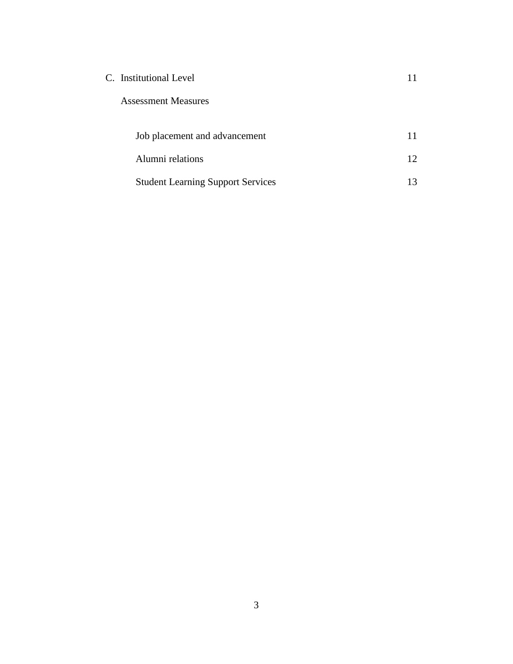| C. Institutional Level     |  |
|----------------------------|--|
| <b>Assessment Measures</b> |  |

| Job placement and advancement            |    |
|------------------------------------------|----|
| Alumni relations                         |    |
| <b>Student Learning Support Services</b> | 13 |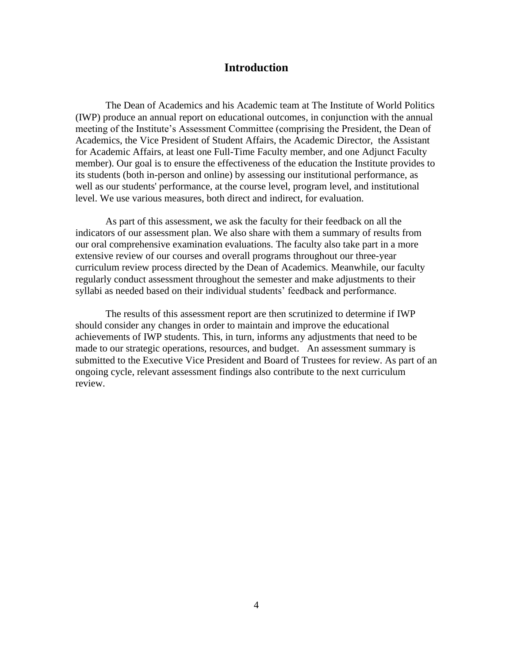# **Introduction**

The Dean of Academics and his Academic team at The Institute of World Politics (IWP) produce an annual report on educational outcomes, in conjunction with the annual meeting of the Institute's Assessment Committee (comprising the President, the Dean of Academics, the Vice President of Student Affairs, the Academic Director, the Assistant for Academic Affairs, at least one Full-Time Faculty member, and one Adjunct Faculty member). Our goal is to ensure the effectiveness of the education the Institute provides to its students (both in-person and online) by assessing our institutional performance, as well as our students' performance, at the course level, program level, and institutional level. We use various measures, both direct and indirect, for evaluation.

As part of this assessment, we ask the faculty for their feedback on all the indicators of our assessment plan. We also share with them a summary of results from our oral comprehensive examination evaluations. The faculty also take part in a more extensive review of our courses and overall programs throughout our three-year curriculum review process directed by the Dean of Academics. Meanwhile, our faculty regularly conduct assessment throughout the semester and make adjustments to their syllabi as needed based on their individual students' feedback and performance.

The results of this assessment report are then scrutinized to determine if IWP should consider any changes in order to maintain and improve the educational achievements of IWP students. This, in turn, informs any adjustments that need to be made to our strategic operations, resources, and budget. An assessment summary is submitted to the Executive Vice President and Board of Trustees for review. As part of an ongoing cycle, relevant assessment findings also contribute to the next curriculum review.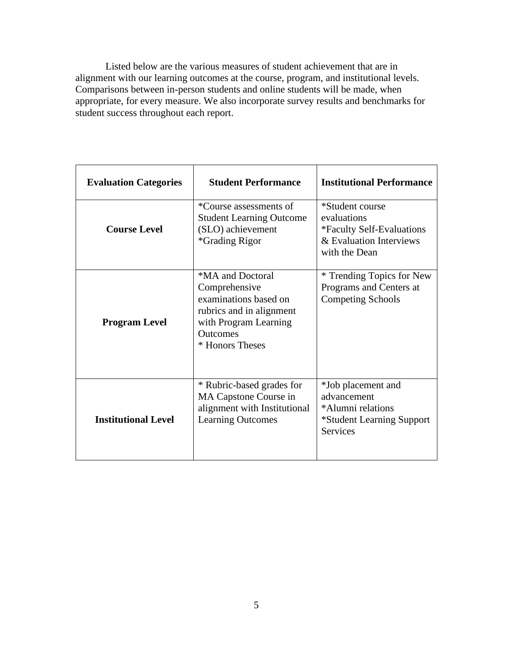Listed below are the various measures of student achievement that are in alignment with our learning outcomes at the course, program, and institutional levels. Comparisons between in-person students and online students will be made, when appropriate, for every measure. We also incorporate survey results and benchmarks for student success throughout each report.

| <b>Evaluation Categories</b> | <b>Student Performance</b>                                                                                                                            | <b>Institutional Performance</b>                                                                        |
|------------------------------|-------------------------------------------------------------------------------------------------------------------------------------------------------|---------------------------------------------------------------------------------------------------------|
| <b>Course Level</b>          | *Course assessments of<br><b>Student Learning Outcome</b><br>(SLO) achievement<br><i><b>*Grading Rigor</b></i>                                        | *Student course<br>evaluations<br>*Faculty Self-Evaluations<br>& Evaluation Interviews<br>with the Dean |
| <b>Program Level</b>         | *MA and Doctoral<br>Comprehensive<br>examinations based on<br>rubrics and in alignment<br>with Program Learning<br><b>Outcomes</b><br>* Honors Theses | * Trending Topics for New<br>Programs and Centers at<br><b>Competing Schools</b>                        |
| <b>Institutional Level</b>   | * Rubric-based grades for<br>MA Capstone Course in<br>alignment with Institutional<br><b>Learning Outcomes</b>                                        | *Job placement and<br>advancement<br>*Alumni relations<br>*Student Learning Support<br><b>Services</b>  |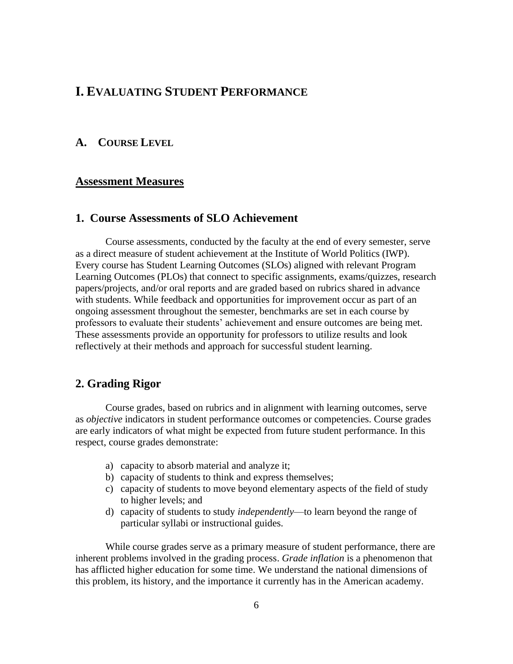# **I. EVALUATING STUDENT PERFORMANCE**

# **A. COURSE LEVEL**

### **Assessment Measures**

# **1. Course Assessments of SLO Achievement**

Course assessments, conducted by the faculty at the end of every semester, serve as a direct measure of student achievement at the Institute of World Politics (IWP). Every course has Student Learning Outcomes (SLOs) aligned with relevant Program Learning Outcomes (PLOs) that connect to specific assignments, exams/quizzes, research papers/projects, and/or oral reports and are graded based on rubrics shared in advance with students. While feedback and opportunities for improvement occur as part of an ongoing assessment throughout the semester, benchmarks are set in each course by professors to evaluate their students' achievement and ensure outcomes are being met. These assessments provide an opportunity for professors to utilize results and look reflectively at their methods and approach for successful student learning.

#### **2. Grading Rigor**

Course grades, based on rubrics and in alignment with learning outcomes, serve as *objective* indicators in student performance outcomes or competencies. Course grades are early indicators of what might be expected from future student performance. In this respect, course grades demonstrate:

- a) capacity to absorb material and analyze it;
- b) capacity of students to think and express themselves;
- c) capacity of students to move beyond elementary aspects of the field of study to higher levels; and
- d) capacity of students to study *independently*—to learn beyond the range of particular syllabi or instructional guides.

While course grades serve as a primary measure of student performance, there are inherent problems involved in the grading process. *Grade inflation* is a phenomenon that has afflicted higher education for some time. We understand the national dimensions of this problem, its history, and the importance it currently has in the American academy.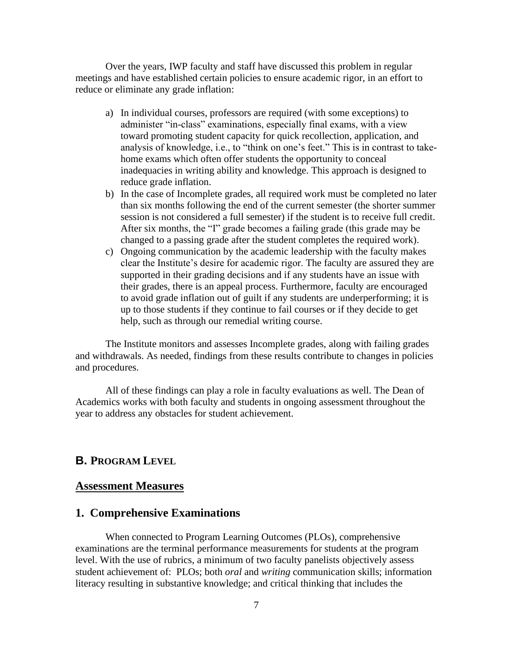Over the years, IWP faculty and staff have discussed this problem in regular meetings and have established certain policies to ensure academic rigor, in an effort to reduce or eliminate any grade inflation:

- a) In individual courses, professors are required (with some exceptions) to administer "in-class" examinations, especially final exams, with a view toward promoting student capacity for quick recollection, application, and analysis of knowledge, i.e., to "think on one's feet." This is in contrast to takehome exams which often offer students the opportunity to conceal inadequacies in writing ability and knowledge. This approach is designed to reduce grade inflation.
- b) In the case of Incomplete grades, all required work must be completed no later than six months following the end of the current semester (the shorter summer session is not considered a full semester) if the student is to receive full credit. After six months, the "I" grade becomes a failing grade (this grade may be changed to a passing grade after the student completes the required work).
- c) Ongoing communication by the academic leadership with the faculty makes clear the Institute's desire for academic rigor. The faculty are assured they are supported in their grading decisions and if any students have an issue with their grades, there is an appeal process. Furthermore, faculty are encouraged to avoid grade inflation out of guilt if any students are underperforming; it is up to those students if they continue to fail courses or if they decide to get help, such as through our remedial writing course.

The Institute monitors and assesses Incomplete grades, along with failing grades and withdrawals. As needed, findings from these results contribute to changes in policies and procedures.

All of these findings can play a role in faculty evaluations as well. The Dean of Academics works with both faculty and students in ongoing assessment throughout the year to address any obstacles for student achievement.

## **B. PROGRAM LEVEL**

### **Assessment Measures**

# **1. Comprehensive Examinations**

When connected to Program Learning Outcomes (PLOs), comprehensive examinations are the terminal performance measurements for students at the program level. With the use of rubrics, a minimum of two faculty panelists objectively assess student achievement of: PLOs; both *oral* and *writing* communication skills; information literacy resulting in substantive knowledge; and critical thinking that includes the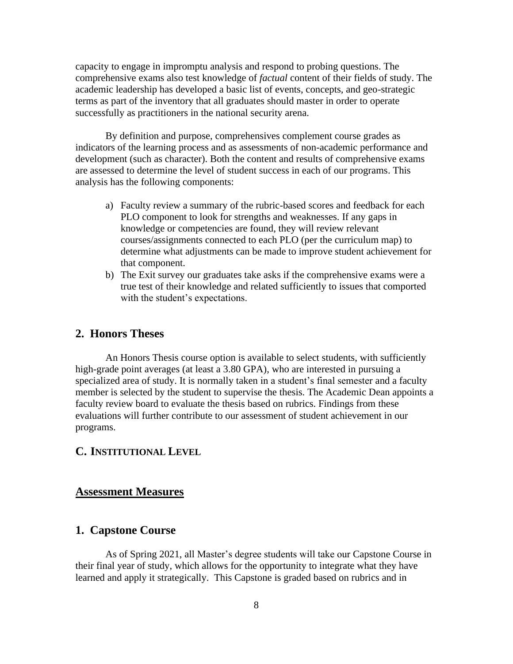capacity to engage in impromptu analysis and respond to probing questions. The comprehensive exams also test knowledge of *factual* content of their fields of study. The academic leadership has developed a basic list of events, concepts, and geo-strategic terms as part of the inventory that all graduates should master in order to operate successfully as practitioners in the national security arena.

By definition and purpose, comprehensives complement course grades as indicators of the learning process and as assessments of non-academic performance and development (such as character). Both the content and results of comprehensive exams are assessed to determine the level of student success in each of our programs. This analysis has the following components:

- a) Faculty review a summary of the rubric-based scores and feedback for each PLO component to look for strengths and weaknesses. If any gaps in knowledge or competencies are found, they will review relevant courses/assignments connected to each PLO (per the curriculum map) to determine what adjustments can be made to improve student achievement for that component.
- b) The Exit survey our graduates take asks if the comprehensive exams were a true test of their knowledge and related sufficiently to issues that comported with the student's expectations.

# **2. Honors Theses**

An Honors Thesis course option is available to select students, with sufficiently high-grade point averages (at least a 3.80 GPA), who are interested in pursuing a specialized area of study. It is normally taken in a student's final semester and a faculty member is selected by the student to supervise the thesis. The Academic Dean appoints a faculty review board to evaluate the thesis based on rubrics. Findings from these evaluations will further contribute to our assessment of student achievement in our programs.

## **C. INSTITUTIONAL LEVEL**

#### **Assessment Measures**

# **1. Capstone Course**

As of Spring 2021, all Master's degree students will take our Capstone Course in their final year of study, which allows for the opportunity to integrate what they have learned and apply it strategically. This Capstone is graded based on rubrics and in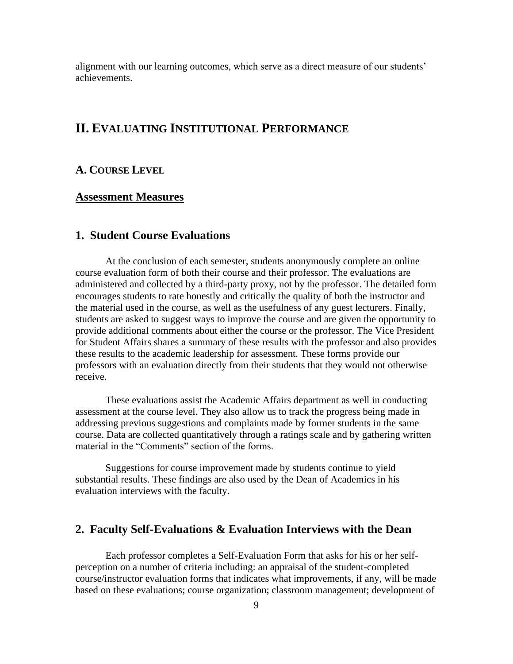alignment with our learning outcomes, which serve as a direct measure of our students' achievements.

# **II. EVALUATING INSTITUTIONAL PERFORMANCE**

# **A. COURSE LEVEL**

#### **Assessment Measures**

# **1. Student Course Evaluations**

At the conclusion of each semester, students anonymously complete an online course evaluation form of both their course and their professor. The evaluations are administered and collected by a third-party proxy, not by the professor. The detailed form encourages students to rate honestly and critically the quality of both the instructor and the material used in the course, as well as the usefulness of any guest lecturers. Finally, students are asked to suggest ways to improve the course and are given the opportunity to provide additional comments about either the course or the professor. The Vice President for Student Affairs shares a summary of these results with the professor and also provides these results to the academic leadership for assessment. These forms provide our professors with an evaluation directly from their students that they would not otherwise receive.

These evaluations assist the Academic Affairs department as well in conducting assessment at the course level. They also allow us to track the progress being made in addressing previous suggestions and complaints made by former students in the same course. Data are collected quantitatively through a ratings scale and by gathering written material in the "Comments" section of the forms.

Suggestions for course improvement made by students continue to yield substantial results. These findings are also used by the Dean of Academics in his evaluation interviews with the faculty.

### **2. Faculty Self-Evaluations & Evaluation Interviews with the Dean**

Each professor completes a Self-Evaluation Form that asks for his or her selfperception on a number of criteria including: an appraisal of the student-completed course/instructor evaluation forms that indicates what improvements, if any, will be made based on these evaluations; course organization; classroom management; development of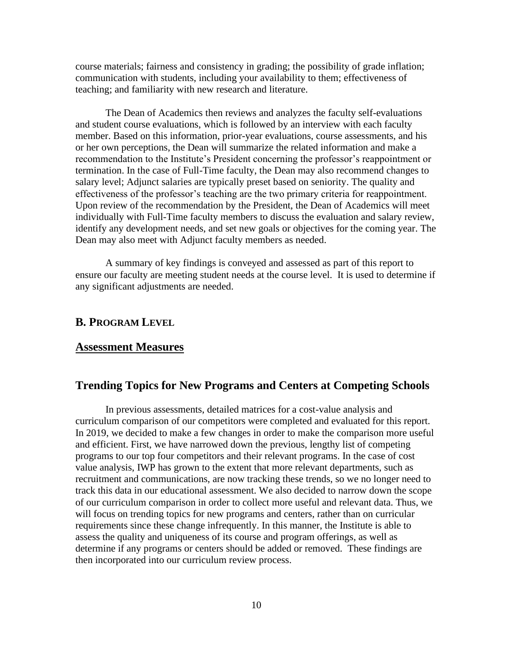course materials; fairness and consistency in grading; the possibility of grade inflation; communication with students, including your availability to them; effectiveness of teaching; and familiarity with new research and literature.

The Dean of Academics then reviews and analyzes the faculty self-evaluations and student course evaluations, which is followed by an interview with each faculty member. Based on this information, prior-year evaluations, course assessments, and his or her own perceptions, the Dean will summarize the related information and make a recommendation to the Institute's President concerning the professor's reappointment or termination. In the case of Full-Time faculty, the Dean may also recommend changes to salary level; Adjunct salaries are typically preset based on seniority. The quality and effectiveness of the professor's teaching are the two primary criteria for reappointment. Upon review of the recommendation by the President, the Dean of Academics will meet individually with Full-Time faculty members to discuss the evaluation and salary review, identify any development needs, and set new goals or objectives for the coming year. The Dean may also meet with Adjunct faculty members as needed.

A summary of key findings is conveyed and assessed as part of this report to ensure our faculty are meeting student needs at the course level. It is used to determine if any significant adjustments are needed.

## **B. PROGRAM LEVEL**

### **Assessment Measures**

# **Trending Topics for New Programs and Centers at Competing Schools**

In previous assessments, detailed matrices for a cost-value analysis and curriculum comparison of our competitors were completed and evaluated for this report. In 2019, we decided to make a few changes in order to make the comparison more useful and efficient. First, we have narrowed down the previous, lengthy list of competing programs to our top four competitors and their relevant programs. In the case of cost value analysis, IWP has grown to the extent that more relevant departments, such as recruitment and communications, are now tracking these trends, so we no longer need to track this data in our educational assessment. We also decided to narrow down the scope of our curriculum comparison in order to collect more useful and relevant data. Thus, we will focus on trending topics for new programs and centers, rather than on curricular requirements since these change infrequently. In this manner, the Institute is able to assess the quality and uniqueness of its course and program offerings, as well as determine if any programs or centers should be added or removed. These findings are then incorporated into our curriculum review process.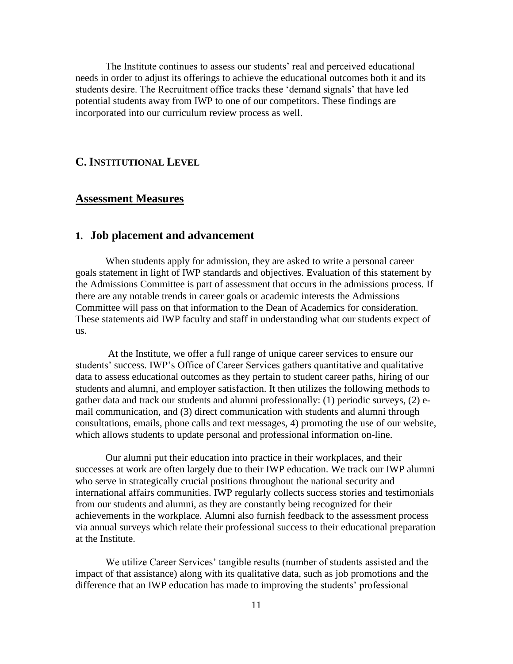The Institute continues to assess our students' real and perceived educational needs in order to adjust its offerings to achieve the educational outcomes both it and its students desire. The Recruitment office tracks these 'demand signals' that have led potential students away from IWP to one of our competitors. These findings are incorporated into our curriculum review process as well.

# **C.INSTITUTIONAL LEVEL**

# **Assessment Measures**

## **1. Job placement and advancement**

When students apply for admission, they are asked to write a personal career goals statement in light of IWP standards and objectives. Evaluation of this statement by the Admissions Committee is part of assessment that occurs in the admissions process. If there are any notable trends in career goals or academic interests the Admissions Committee will pass on that information to the Dean of Academics for consideration. These statements aid IWP faculty and staff in understanding what our students expect of us.

At the Institute, we offer a full range of unique career services to ensure our students' success. IWP's Office of Career Services gathers quantitative and qualitative data to assess educational outcomes as they pertain to student career paths, hiring of our students and alumni, and employer satisfaction. It then utilizes the following methods to gather data and track our students and alumni professionally: (1) periodic surveys, (2) email communication, and (3) direct communication with students and alumni through consultations, emails, phone calls and text messages, 4) promoting the use of our website, which allows students to update personal and professional information on-line.

Our alumni put their education into practice in their workplaces, and their successes at work are often largely due to their IWP education. We track our IWP alumni who serve in strategically crucial positions throughout the national security and international affairs communities. IWP regularly collects success stories and testimonials from our students and alumni, as they are constantly being recognized for their achievements in the workplace. Alumni also furnish feedback to the assessment process via annual surveys which relate their professional success to their educational preparation at the Institute.

We utilize Career Services' tangible results (number of students assisted and the impact of that assistance) along with its qualitative data, such as job promotions and the difference that an IWP education has made to improving the students' professional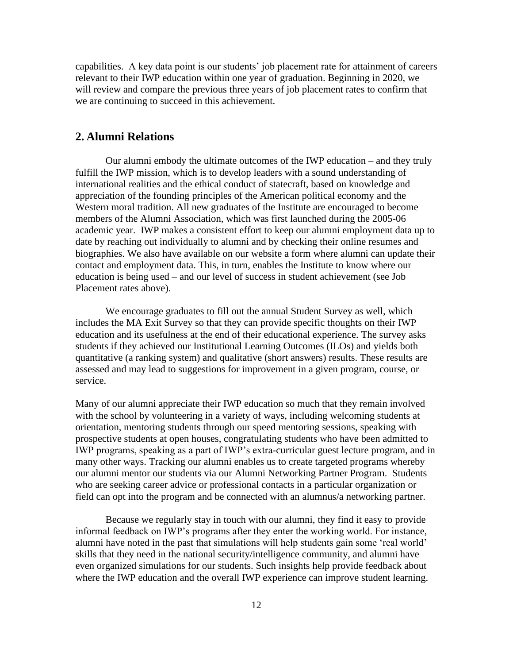capabilities. A key data point is our students' job placement rate for attainment of careers relevant to their IWP education within one year of graduation. Beginning in 2020, we will review and compare the previous three years of job placement rates to confirm that we are continuing to succeed in this achievement.

### **2. Alumni Relations**

Our alumni embody the ultimate outcomes of the IWP education – and they truly fulfill the IWP mission, which is to develop leaders with a sound understanding of international realities and the ethical conduct of statecraft, based on knowledge and appreciation of the founding principles of the American political economy and the Western moral tradition. All new graduates of the Institute are encouraged to become members of the Alumni Association, which was first launched during the 2005-06 academic year. IWP makes a consistent effort to keep our alumni employment data up to date by reaching out individually to alumni and by checking their online resumes and biographies. We also have available on our website a form where alumni can update their contact and employment data. This, in turn, enables the Institute to know where our education is being used – and our level of success in student achievement (see Job Placement rates above).

We encourage graduates to fill out the annual Student Survey as well, which includes the MA Exit Survey so that they can provide specific thoughts on their IWP education and its usefulness at the end of their educational experience. The survey asks students if they achieved our Institutional Learning Outcomes (ILOs) and yields both quantitative (a ranking system) and qualitative (short answers) results. These results are assessed and may lead to suggestions for improvement in a given program, course, or service.

Many of our alumni appreciate their IWP education so much that they remain involved with the school by volunteering in a variety of ways, including welcoming students at orientation, mentoring students through our speed mentoring sessions, speaking with prospective students at open houses, congratulating students who have been admitted to IWP programs, speaking as a part of IWP's extra-curricular guest lecture program, and in many other ways. Tracking our alumni enables us to create targeted programs whereby our alumni mentor our students via our Alumni Networking Partner Program. Students who are seeking career advice or professional contacts in a particular organization or field can opt into the program and be connected with an alumnus/a networking partner.

Because we regularly stay in touch with our alumni, they find it easy to provide informal feedback on IWP's programs after they enter the working world. For instance, alumni have noted in the past that simulations will help students gain some 'real world' skills that they need in the national security/intelligence community, and alumni have even organized simulations for our students. Such insights help provide feedback about where the IWP education and the overall IWP experience can improve student learning.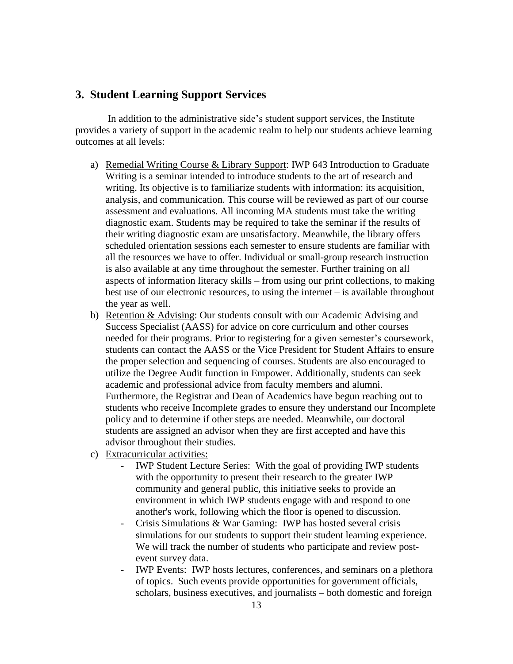# **3. Student Learning Support Services**

In addition to the administrative side's student support services, the Institute provides a variety of support in the academic realm to help our students achieve learning outcomes at all levels:

- a) Remedial Writing Course & Library Support: IWP 643 Introduction to Graduate Writing is a seminar intended to introduce students to the art of research and writing. Its objective is to familiarize students with information: its acquisition, analysis, and communication. This course will be reviewed as part of our course assessment and evaluations. All incoming MA students must take the writing diagnostic exam. Students may be required to take the seminar if the results of their writing diagnostic exam are unsatisfactory. Meanwhile, the library offers scheduled orientation sessions each semester to ensure students are familiar with all the resources we have to offer. Individual or small-group research instruction is also available at any time throughout the semester. Further training on all aspects of information literacy skills – from using our print collections, to making best use of our electronic resources, to using the internet – is available throughout the year as well.
- b) Retention & Advising: Our students consult with our Academic Advising and Success Specialist (AASS) for advice on core curriculum and other courses needed for their programs. Prior to registering for a given semester's coursework, students can contact the AASS or the Vice President for Student Affairs to ensure the proper selection and sequencing of courses. Students are also encouraged to utilize the Degree Audit function in Empower. Additionally, students can seek academic and professional advice from faculty members and alumni. Furthermore, the Registrar and Dean of Academics have begun reaching out to students who receive Incomplete grades to ensure they understand our Incomplete policy and to determine if other steps are needed. Meanwhile, our doctoral students are assigned an advisor when they are first accepted and have this advisor throughout their studies.
- c) Extracurricular activities:
	- IWP Student Lecture Series: With the goal of providing IWP students with the opportunity to present their research to the greater IWP community and general public, this initiative seeks to provide an environment in which IWP students engage with and respond to one another's work, following which the floor is opened to discussion.
	- Crisis Simulations & War Gaming: IWP has hosted several crisis simulations for our students to support their student learning experience. We will track the number of students who participate and review postevent survey data.
	- IWP Events: IWP hosts lectures, conferences, and seminars on a plethora of topics. Such events provide opportunities for government officials, scholars, business executives, and journalists – both domestic and foreign